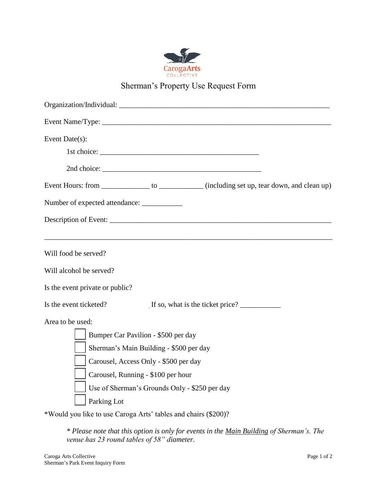

## Sherman's Property Use Request Form

| Event Date(s):<br>Event Hours: from _______________ to ____________ (including set up, tear down, and clean up)                                                                                                                                                                                                     |  |  |
|---------------------------------------------------------------------------------------------------------------------------------------------------------------------------------------------------------------------------------------------------------------------------------------------------------------------|--|--|
| Will food be served?<br>Will alcohol be served?<br>Is the event private or public?                                                                                                                                                                                                                                  |  |  |
| Is the event ticketed?<br>If so, what is the ticket price?                                                                                                                                                                                                                                                          |  |  |
| Area to be used:<br>Bumper Car Pavilion - \$500 per day<br>Sherman's Main Building - \$500 per day<br>Carousel, Access Only - \$500 per day<br>Carousel, Running - \$100 per hour<br>Use of Sherman's Grounds Only - \$250 per day<br>Parking Lot<br>*Would you like to use Caroga Arts' tables and chairs (\$200)? |  |  |

*\* Please note that this option is only for events in the Main Building of Sherman's. The venue has 23 round tables of 58" diameter.*